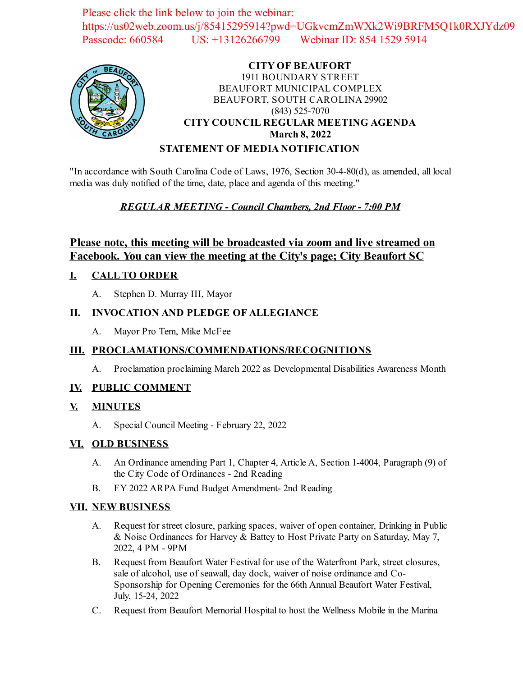Please click the link below to join the webinar: https://us02web.zoom.us/j/85415295914?pwd=UGkvcmZmWXk2Wi9BRFM5Q1k0RXJYdz09 Passcode: 660584 US: +13126266799 Webinar ID: 854 1529 5914



# **CITY OF BEAUFORT** 1911 BOUNDARY STREET BEAUFORT MUNICIPAL COMPLEX BEAUFORT, SOUTH CAROLINA 29902 (843) 525-7070 **CITY COUNCIL REGULAR MEETING AGENDA March 8, 2022**

### **STATEMENT OF MEDIA NOTIFICATION**

"In accordance with South Carolina Code of Laws, 1976, Section 30-4-80(d), as amended, all local media was duly notified of the time, date, place and agenda of this meeting."

# *REGULAR MEETING - Council Chambers, 2nd Floor - 7:00 PM*

# **Please note, this meeting will be broadcasted via zoom and live streamed on Facebook. You can view the meeting at the City's page; City Beaufort SC**

# **I. CALL TO ORDER**

A. Stephen D. Murray III, Mayor

### **II. INVOCATION AND PLEDGE OF ALLEGIANCE**

A. Mayor Pro Tem, Mike McFee

# **III. PROCLAMATIONS/COMMENDATIONS/RECOGNITIONS**

A. [Proclamation proclaiming March 2022 as Developmental Disabilities Awareness Month](file:///C:/Windows/TEMP/CoverSheet.aspx?ItemID=2438&MeetingID=350)

#### **IV. PUBLIC COMMENT**

#### **V. MINUTES**

A. Special Council Meeting - February 22, 2022

#### **VI. OLD BUSINESS**

- A. [An Ordinance amending Part 1, Chapter 4, Article A, Section 1-4004, Paragraph \(9\) of](file:///C:/Windows/TEMP/CoverSheet.aspx?ItemID=2437&MeetingID=350) the City Code of Ordinances - 2nd Reading
- B. [FY 2022 ARPA Fund Budget Amendment- 2nd Reading](file:///C:/Windows/TEMP/CoverSheet.aspx?ItemID=2439&MeetingID=350)

# **VII. NEW BUSINESS**

- A. [Request for street closure, parking spaces, waiver of open container, Drinking in Public](file:///C:/Windows/TEMP/CoverSheet.aspx?ItemID=2445&MeetingID=350) & Noise Ordinances for Harvey & Battey to Host Private Party on Saturday, May 7, 2022, 4 PM - 9PM
- B. Request from Beaufort Water Festival for use of the Waterfront Park, street closures, sale of alcohol, use of seawall, day dock, waiver of noise ordinance and Co-Sponsorship for Opening Ceremonies for the 66th Annual Beaufort Water Festival, July, 15-24, 2022
- C. Request from Beaufort Memorial Hospital to host the Wellness Mobile in the Marina